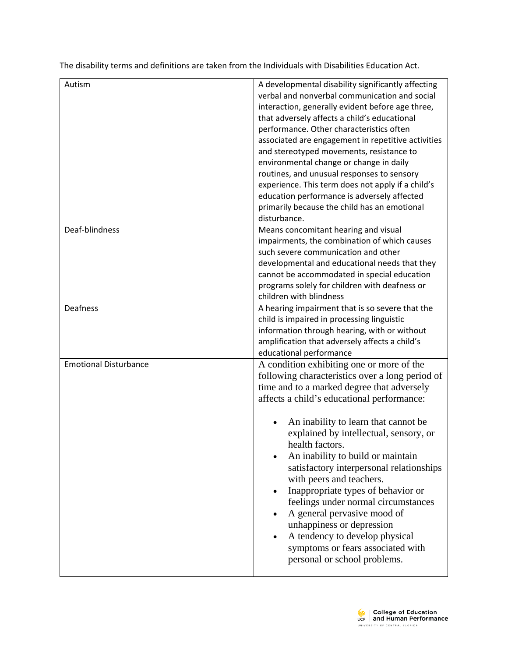The disability terms and definitions are taken from the Individuals with Disabilities Education Act.

| Autism                       | A developmental disability significantly affecting<br>verbal and nonverbal communication and social<br>interaction, generally evident before age three,<br>that adversely affects a child's educational<br>performance. Other characteristics often<br>associated are engagement in repetitive activities<br>and stereotyped movements, resistance to<br>environmental change or change in daily<br>routines, and unusual responses to sensory<br>experience. This term does not apply if a child's<br>education performance is adversely affected<br>primarily because the child has an emotional<br>disturbance.                                         |
|------------------------------|------------------------------------------------------------------------------------------------------------------------------------------------------------------------------------------------------------------------------------------------------------------------------------------------------------------------------------------------------------------------------------------------------------------------------------------------------------------------------------------------------------------------------------------------------------------------------------------------------------------------------------------------------------|
| Deaf-blindness               | Means concomitant hearing and visual<br>impairments, the combination of which causes<br>such severe communication and other<br>developmental and educational needs that they<br>cannot be accommodated in special education<br>programs solely for children with deafness or<br>children with blindness                                                                                                                                                                                                                                                                                                                                                    |
| Deafness                     | A hearing impairment that is so severe that the<br>child is impaired in processing linguistic<br>information through hearing, with or without<br>amplification that adversely affects a child's<br>educational performance                                                                                                                                                                                                                                                                                                                                                                                                                                 |
| <b>Emotional Disturbance</b> | A condition exhibiting one or more of the<br>following characteristics over a long period of<br>time and to a marked degree that adversely<br>affects a child's educational performance:<br>An inability to learn that cannot be<br>explained by intellectual, sensory, or<br>health factors.<br>An inability to build or maintain<br>satisfactory interpersonal relationships<br>with peers and teachers.<br>Inappropriate types of behavior or<br>feelings under normal circumstances<br>A general pervasive mood of<br>unhappiness or depression<br>A tendency to develop physical<br>symptoms or fears associated with<br>personal or school problems. |

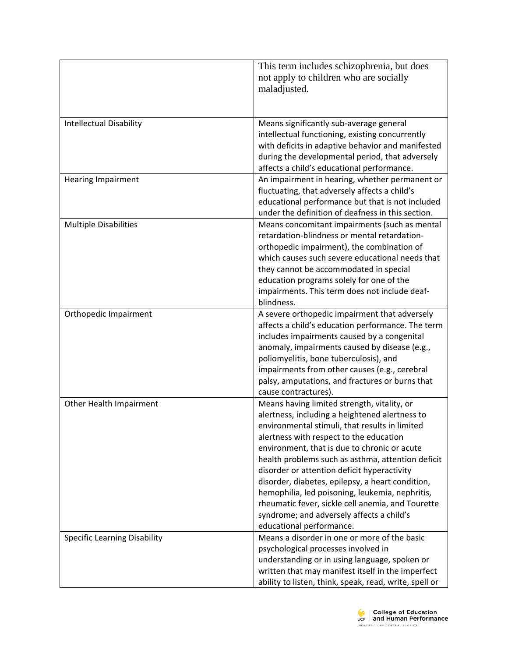| <b>Intellectual Disability</b>      | This term includes schizophrenia, but does<br>not apply to children who are socially<br>maladjusted.<br>Means significantly sub-average general                                                                                                                                                                                                                                                                                                                                                                                                                                     |
|-------------------------------------|-------------------------------------------------------------------------------------------------------------------------------------------------------------------------------------------------------------------------------------------------------------------------------------------------------------------------------------------------------------------------------------------------------------------------------------------------------------------------------------------------------------------------------------------------------------------------------------|
|                                     | intellectual functioning, existing concurrently<br>with deficits in adaptive behavior and manifested<br>during the developmental period, that adversely<br>affects a child's educational performance.                                                                                                                                                                                                                                                                                                                                                                               |
| <b>Hearing Impairment</b>           | An impairment in hearing, whether permanent or<br>fluctuating, that adversely affects a child's<br>educational performance but that is not included<br>under the definition of deafness in this section.                                                                                                                                                                                                                                                                                                                                                                            |
| <b>Multiple Disabilities</b>        | Means concomitant impairments (such as mental<br>retardation-blindness or mental retardation-<br>orthopedic impairment), the combination of<br>which causes such severe educational needs that<br>they cannot be accommodated in special<br>education programs solely for one of the<br>impairments. This term does not include deaf-<br>blindness.                                                                                                                                                                                                                                 |
| Orthopedic Impairment               | A severe orthopedic impairment that adversely<br>affects a child's education performance. The term<br>includes impairments caused by a congenital<br>anomaly, impairments caused by disease (e.g.,<br>poliomyelitis, bone tuberculosis), and<br>impairments from other causes (e.g., cerebral<br>palsy, amputations, and fractures or burns that<br>cause contractures).                                                                                                                                                                                                            |
| Other Health Impairment             | Means having limited strength, vitality, or<br>alertness, including a heightened alertness to<br>environmental stimuli, that results in limited<br>alertness with respect to the education<br>environment, that is due to chronic or acute<br>health problems such as asthma, attention deficit<br>disorder or attention deficit hyperactivity<br>disorder, diabetes, epilepsy, a heart condition,<br>hemophilia, led poisoning, leukemia, nephritis,<br>rheumatic fever, sickle cell anemia, and Tourette<br>syndrome; and adversely affects a child's<br>educational performance. |
| <b>Specific Learning Disability</b> | Means a disorder in one or more of the basic<br>psychological processes involved in<br>understanding or in using language, spoken or<br>written that may manifest itself in the imperfect<br>ability to listen, think, speak, read, write, spell or                                                                                                                                                                                                                                                                                                                                 |